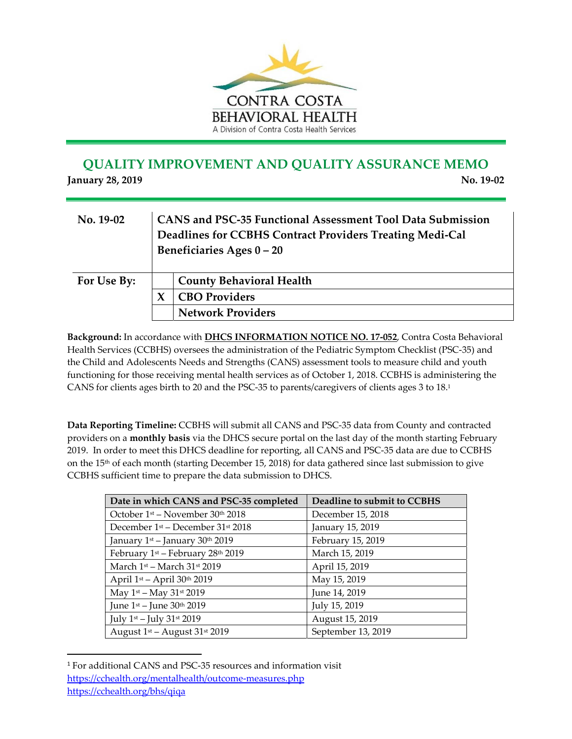

## **QUALITY IMPROVEMENT AND QUALITY ASSURANCE MEMO**

**January 28, 2019 No. 19‐02**

| $No. 19-02$ | CANS and PSC-35 Functional Assessment Tool Data Submission<br>Deadlines for CCBHS Contract Providers Treating Medi-Cal<br>Beneficiaries Ages $0 - 20$ |  |
|-------------|-------------------------------------------------------------------------------------------------------------------------------------------------------|--|
| For Use By: | <b>County Behavioral Health</b>                                                                                                                       |  |
|             | <b>CBO Providers</b>                                                                                                                                  |  |
|             | <b>Network Providers</b>                                                                                                                              |  |

**Background:** In accordance with **DHCS INFORMATION NOTICE NO. 17‐052**, Contra Costa Behavioral Health Services (CCBHS) oversees the administration of the Pediatric Symptom Checklist (PSC‐35) and the Child and Adolescents Needs and Strengths (CANS) assessment tools to measure child and youth functioning for those receiving mental health services as of October 1, 2018. CCBHS is administering the CANS for clients ages birth to 20 and the PSC‐35 to parents/caregivers of clients ages 3 to 18.1

**Data Reporting Timeline:** CCBHS will submit all CANS and PSC‐35 data from County and contracted providers on a **monthly basis** via the DHCS secure portal on the last day of the month starting February 2019. In order to meet this DHCS deadline for reporting, all CANS and PSC‐35 data are due to CCBHS on the 15th of each month (starting December 15, 2018) for data gathered since last submission to give CCBHS sufficient time to prepare the data submission to DHCS.

| Date in which CANS and PSC-35 completed                   | Deadline to submit to CCBHS |  |  |
|-----------------------------------------------------------|-----------------------------|--|--|
| October $1st$ – November $30th$ 2018                      | December 15, 2018           |  |  |
| December 1st - December 31st 2018                         | January 15, 2019            |  |  |
| January 1st – January 30th 2019                           | February 15, 2019           |  |  |
| February 1 <sup>st</sup> – February 28 <sup>th</sup> 2019 | March 15, 2019              |  |  |
| March $1st$ – March $31st$ 2019                           | April 15, 2019              |  |  |
| April 1st - April 30th 2019                               | May 15, 2019                |  |  |
| May $1^{st}$ – May $31^{st}$ 2019                         | June 14, 2019               |  |  |
| June 1 <sup>st</sup> – June 30 <sup>th</sup> 2019         | July 15, 2019               |  |  |
| July 1st – July 31st 2019                                 | August 15, 2019             |  |  |
| August $1st$ – August $31st$ 2019                         | September 13, 2019          |  |  |

<sup>1</sup> For additional CANS and PSC‐35 resources and information visit https://cchealth.org/mentalhealth/outcome‐measures.php https://cchealth.org/bhs/qiqa